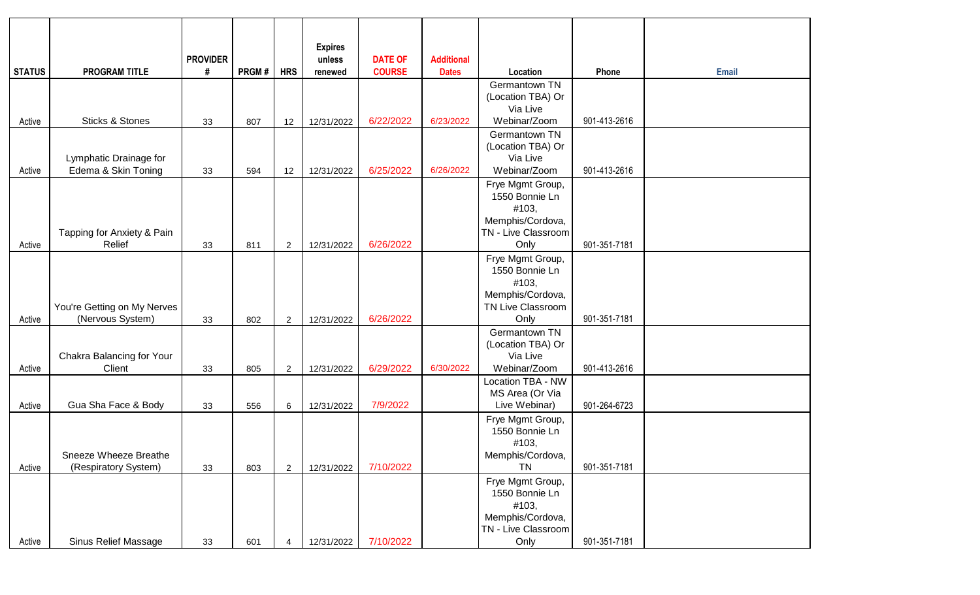|               |                             | <b>PROVIDER</b> |       |                | <b>Expires</b><br>unless | <b>DATE OF</b> | <b>Additional</b> |                                       |              |              |
|---------------|-----------------------------|-----------------|-------|----------------|--------------------------|----------------|-------------------|---------------------------------------|--------------|--------------|
| <b>STATUS</b> | <b>PROGRAM TITLE</b>        | #               | PRGM# | <b>HRS</b>     | renewed                  | <b>COURSE</b>  | <b>Dates</b>      | Location                              | Phone        | <b>Email</b> |
|               |                             |                 |       |                |                          |                |                   | Germantown TN                         |              |              |
|               |                             |                 |       |                |                          |                |                   | (Location TBA) Or                     |              |              |
| Active        | <b>Sticks &amp; Stones</b>  | 33              | 807   | 12             | 12/31/2022               | 6/22/2022      | 6/23/2022         | Via Live<br>Webinar/Zoom              | 901-413-2616 |              |
|               |                             |                 |       |                |                          |                |                   | Germantown TN                         |              |              |
|               |                             |                 |       |                |                          |                |                   | (Location TBA) Or                     |              |              |
|               | Lymphatic Drainage for      |                 |       |                |                          |                |                   | Via Live                              |              |              |
| Active        | Edema & Skin Toning         | 33              | 594   | 12             | 12/31/2022               | 6/25/2022      | 6/26/2022         | Webinar/Zoom                          | 901-413-2616 |              |
|               |                             |                 |       |                |                          |                |                   | Frye Mgmt Group,                      |              |              |
|               |                             |                 |       |                |                          |                |                   | 1550 Bonnie Ln<br>#103,               |              |              |
|               |                             |                 |       |                |                          |                |                   | Memphis/Cordova,                      |              |              |
|               | Tapping for Anxiety & Pain  |                 |       |                |                          |                |                   | TN - Live Classroom                   |              |              |
| Active        | Relief                      | 33              | 811   | $\overline{c}$ | 12/31/2022               | 6/26/2022      |                   | Only                                  | 901-351-7181 |              |
|               |                             |                 |       |                |                          |                |                   | Frye Mgmt Group,                      |              |              |
|               |                             |                 |       |                |                          |                |                   | 1550 Bonnie Ln                        |              |              |
|               |                             |                 |       |                |                          |                |                   | #103,                                 |              |              |
|               | You're Getting on My Nerves |                 |       |                |                          |                |                   | Memphis/Cordova,<br>TN Live Classroom |              |              |
| Active        | (Nervous System)            | 33              | 802   | $\overline{c}$ | 12/31/2022               | 6/26/2022      |                   | Only                                  | 901-351-7181 |              |
|               |                             |                 |       |                |                          |                |                   | Germantown TN                         |              |              |
|               |                             |                 |       |                |                          |                |                   | (Location TBA) Or                     |              |              |
|               | Chakra Balancing for Your   |                 |       |                |                          |                |                   | Via Live                              |              |              |
| Active        | Client                      | 33              | 805   | $\overline{c}$ | 12/31/2022               | 6/29/2022      | 6/30/2022         | Webinar/Zoom                          | 901-413-2616 |              |
|               |                             |                 |       |                |                          |                |                   | Location TBA - NW                     |              |              |
| Active        | Gua Sha Face & Body         | 33              | 556   | 6              | 12/31/2022               | 7/9/2022       |                   | MS Area (Or Via<br>Live Webinar)      | 901-264-6723 |              |
|               |                             |                 |       |                |                          |                |                   | Frye Mgmt Group,                      |              |              |
|               |                             |                 |       |                |                          |                |                   | 1550 Bonnie Ln                        |              |              |
|               |                             |                 |       |                |                          |                |                   | #103,                                 |              |              |
|               | Sneeze Wheeze Breathe       |                 |       |                |                          |                |                   | Memphis/Cordova,                      |              |              |
| Active        | (Respiratory System)        | 33              | 803   | $\overline{c}$ | 12/31/2022               | 7/10/2022      |                   | TN                                    | 901-351-7181 |              |
|               |                             |                 |       |                |                          |                |                   | Frye Mgmt Group,                      |              |              |
|               |                             |                 |       |                |                          |                |                   | 1550 Bonnie Ln<br>#103,               |              |              |
|               |                             |                 |       |                |                          |                |                   | Memphis/Cordova,                      |              |              |
|               |                             |                 |       |                |                          |                |                   | TN - Live Classroom                   |              |              |
| Active        | Sinus Relief Massage        | 33              | 601   | 4              | 12/31/2022               | 7/10/2022      |                   | Only                                  | 901-351-7181 |              |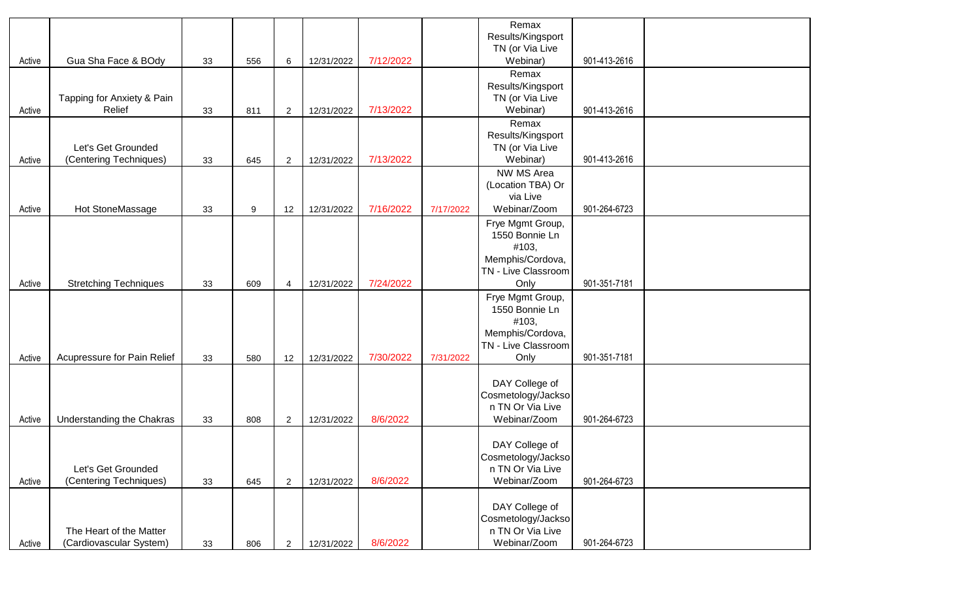|        |                                                    |    |                  |                |            |           |           | Remax                                  |              |  |
|--------|----------------------------------------------------|----|------------------|----------------|------------|-----------|-----------|----------------------------------------|--------------|--|
|        |                                                    |    |                  |                |            |           |           | Results/Kingsport<br>TN (or Via Live   |              |  |
| Active | Gua Sha Face & BOdy                                | 33 | 556              | 6              | 12/31/2022 | 7/12/2022 |           | Webinar)                               | 901-413-2616 |  |
|        |                                                    |    |                  |                |            |           |           | Remax                                  |              |  |
|        |                                                    |    |                  |                |            |           |           | Results/Kingsport                      |              |  |
|        | Tapping for Anxiety & Pain                         |    |                  |                |            |           |           | TN (or Via Live                        |              |  |
| Active | Relief                                             | 33 | 811              | $\overline{2}$ | 12/31/2022 | 7/13/2022 |           | Webinar)<br>Remax                      | 901-413-2616 |  |
|        |                                                    |    |                  |                |            |           |           | Results/Kingsport                      |              |  |
|        | Let's Get Grounded                                 |    |                  |                |            |           |           | TN (or Via Live                        |              |  |
| Active | (Centering Techniques)                             | 33 | 645              | $\overline{2}$ | 12/31/2022 | 7/13/2022 |           | Webinar)                               | 901-413-2616 |  |
|        |                                                    |    |                  |                |            |           |           | NW MS Area                             |              |  |
|        |                                                    |    |                  |                |            |           |           | (Location TBA) Or                      |              |  |
| Active | Hot StoneMassage                                   | 33 | $\boldsymbol{9}$ | 12             | 12/31/2022 | 7/16/2022 | 7/17/2022 | via Live<br>Webinar/Zoom               | 901-264-6723 |  |
|        |                                                    |    |                  |                |            |           |           | Frye Mgmt Group,                       |              |  |
|        |                                                    |    |                  |                |            |           |           | 1550 Bonnie Ln                         |              |  |
|        |                                                    |    |                  |                |            |           |           | #103,                                  |              |  |
|        |                                                    |    |                  |                |            |           |           | Memphis/Cordova,                       |              |  |
|        |                                                    |    |                  |                |            |           |           | TN - Live Classroom                    |              |  |
| Active | <b>Stretching Techniques</b>                       | 33 | 609              | $\overline{4}$ | 12/31/2022 | 7/24/2022 |           | Only                                   | 901-351-7181 |  |
|        |                                                    |    |                  |                |            |           |           | Frye Mgmt Group,<br>1550 Bonnie Ln     |              |  |
|        |                                                    |    |                  |                |            |           |           | #103,                                  |              |  |
|        |                                                    |    |                  |                |            |           |           | Memphis/Cordova,                       |              |  |
|        |                                                    |    |                  |                |            |           |           | TN - Live Classroom                    |              |  |
| Active | Acupressure for Pain Relief                        | 33 | 580              | 12             | 12/31/2022 | 7/30/2022 | 7/31/2022 | Only                                   | 901-351-7181 |  |
|        |                                                    |    |                  |                |            |           |           | DAY College of                         |              |  |
|        |                                                    |    |                  |                |            |           |           | Cosmetology/Jackso                     |              |  |
|        |                                                    |    |                  |                |            |           |           | n TN Or Via Live                       |              |  |
| Active | Understanding the Chakras                          | 33 | 808              | $\overline{c}$ | 12/31/2022 | 8/6/2022  |           | Webinar/Zoom                           | 901-264-6723 |  |
|        |                                                    |    |                  |                |            |           |           |                                        |              |  |
|        |                                                    |    |                  |                |            |           |           | DAY College of                         |              |  |
|        | Let's Get Grounded                                 |    |                  |                |            |           |           | Cosmetology/Jackso<br>n TN Or Via Live |              |  |
| Active | (Centering Techniques)                             | 33 | 645              | $\overline{2}$ | 12/31/2022 | 8/6/2022  |           | Webinar/Zoom                           | 901-264-6723 |  |
|        |                                                    |    |                  |                |            |           |           |                                        |              |  |
|        |                                                    |    |                  |                |            |           |           | DAY College of                         |              |  |
|        |                                                    |    |                  |                |            |           |           | Cosmetology/Jackso                     |              |  |
| Active | The Heart of the Matter<br>(Cardiovascular System) | 33 | 806              | $\overline{2}$ | 12/31/2022 | 8/6/2022  |           | n TN Or Via Live<br>Webinar/Zoom       | 901-264-6723 |  |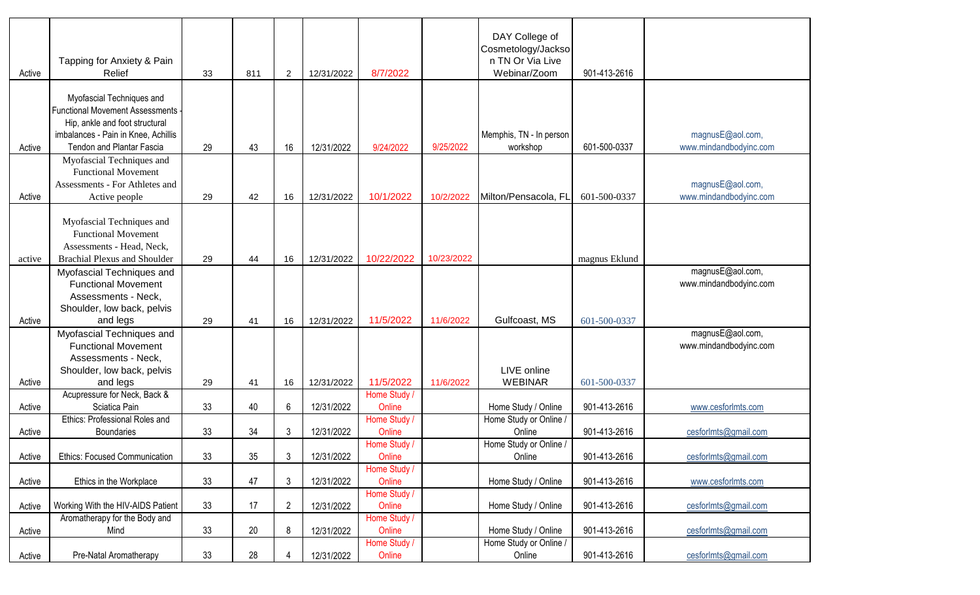| Active | Tapping for Anxiety & Pain<br>Relief                                                                                                    | 33 | 811 | $\overline{2}$ | 12/31/2022 | 8/7/2022               |            | DAY College of<br>Cosmetology/Jackso<br>n TN Or Via Live<br>Webinar/Zoom | 901-413-2616  |                                            |
|--------|-----------------------------------------------------------------------------------------------------------------------------------------|----|-----|----------------|------------|------------------------|------------|--------------------------------------------------------------------------|---------------|--------------------------------------------|
|        | Myofascial Techniques and<br>Functional Movement Assessments -<br>Hip, ankle and foot structural<br>imbalances - Pain in Knee, Achillis |    |     |                |            |                        |            | Memphis, TN - In person                                                  |               | magnusE@aol.com,                           |
| Active | <b>Tendon and Plantar Fascia</b>                                                                                                        | 29 | 43  | 16             | 12/31/2022 | 9/24/2022              | 9/25/2022  | workshop                                                                 | 601-500-0337  | www.mindandbodyinc.com                     |
|        | Myofascial Techniques and<br><b>Functional Movement</b><br>Assessments - For Athletes and                                               |    |     |                |            | 10/1/2022              | 10/2/2022  | Milton/Pensacola, FL                                                     |               | magnusE@aol.com,                           |
| Active | Active people                                                                                                                           | 29 | 42  | 16             | 12/31/2022 |                        |            |                                                                          | 601-500-0337  | www.mindandbodyinc.com                     |
| active | Myofascial Techniques and<br><b>Functional Movement</b><br>Assessments - Head, Neck,<br><b>Brachial Plexus and Shoulder</b>             | 29 | 44  | 16             | 12/31/2022 | 10/22/2022             | 10/23/2022 |                                                                          | magnus Eklund |                                            |
|        | Myofascial Techniques and<br><b>Functional Movement</b><br>Assessments - Neck,<br>Shoulder, low back, pelvis                            |    |     |                |            |                        |            |                                                                          |               | magnusE@aol.com,<br>www.mindandbodyinc.com |
| Active | and legs                                                                                                                                | 29 | 41  | 16             | 12/31/2022 | 11/5/2022              | 11/6/2022  | Gulfcoast, MS                                                            | 601-500-0337  |                                            |
|        | Myofascial Techniques and<br><b>Functional Movement</b><br>Assessments - Neck,                                                          |    |     |                |            |                        |            |                                                                          |               | magnusE@aol.com,<br>www.mindandbodyinc.com |
| Active | Shoulder, low back, pelvis<br>and legs                                                                                                  | 29 | 41  | 16             | 12/31/2022 | 11/5/2022              | 11/6/2022  | LIVE online<br><b>WEBINAR</b>                                            | 601-500-0337  |                                            |
|        | Acupressure for Neck, Back &                                                                                                            |    |     |                |            | Home Study /           |            |                                                                          |               |                                            |
| Active | Sciatica Pain                                                                                                                           | 33 | 40  | 6              | 12/31/2022 | Online                 |            | Home Study / Online                                                      | 901-413-2616  | www.cesforlmts.com                         |
| Active | Ethics: Professional Roles and<br><b>Boundaries</b>                                                                                     | 33 | 34  | 3              | 12/31/2022 | Home Study /<br>Online |            | Home Study or Online /<br>Online                                         | 901-413-2616  | cesforImts@gmail.com                       |
| Active | <b>Ethics: Focused Communication</b>                                                                                                    | 33 | 35  |                | 12/31/2022 | Home Study /<br>Online |            | Home Study or Online /<br>Online                                         | 901-413-2616  | cesforImts@gmail.com                       |
|        |                                                                                                                                         |    |     |                |            | Home Study /           |            |                                                                          |               |                                            |
| Active | Ethics in the Workplace                                                                                                                 | 33 | 47  | 3              | 12/31/2022 | Online                 |            | Home Study / Online                                                      | 901-413-2616  | www.cesforlmts.com                         |
| Active | Working With the HIV-AIDS Patient                                                                                                       | 33 | 17  | 2              | 12/31/2022 | Home Study /<br>Online |            | Home Study / Online                                                      | 901-413-2616  | cesforImts@gmail.com                       |
| Active | Aromatherapy for the Body and<br>Mind                                                                                                   | 33 | 20  | 8              | 12/31/2022 | Home Study /<br>Online |            | Home Study / Online                                                      | 901-413-2616  | cesforImts@gmail.com                       |
|        |                                                                                                                                         |    | 28  |                |            | Home Study /           |            | Home Study or Online /                                                   |               |                                            |
| Active | Pre-Natal Aromatherapy                                                                                                                  | 33 |     |                | 12/31/2022 | Online                 |            | Online                                                                   | 901-413-2616  | cesforImts@gmail.com                       |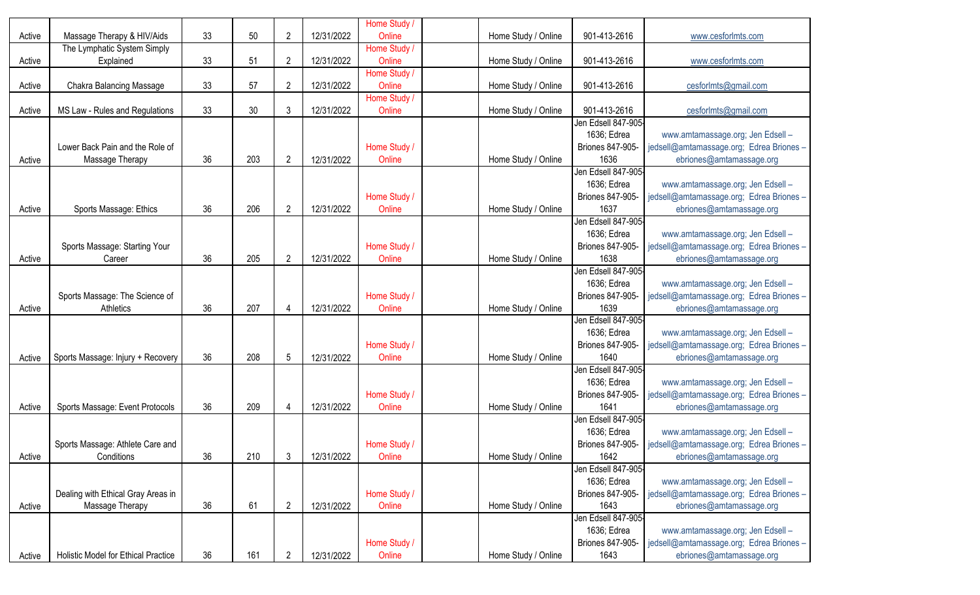| Active | Massage Therapy & HIV/Aids          | 33 | 50  | $\overline{2}$ | 12/31/2022 | Home Study /<br>Online | Home Study / Online | 901-413-2616                    | www.cesforlmts.com                                                   |
|--------|-------------------------------------|----|-----|----------------|------------|------------------------|---------------------|---------------------------------|----------------------------------------------------------------------|
|        | The Lymphatic System Simply         |    |     |                |            | Home Study /           |                     |                                 |                                                                      |
| Active | Explained                           | 33 | 51  | $\overline{2}$ | 12/31/2022 | Online                 | Home Study / Online | 901-413-2616                    | www.cesforlmts.com                                                   |
|        |                                     |    |     |                |            | Home Study /           |                     |                                 |                                                                      |
| Active | Chakra Balancing Massage            | 33 | 57  | $\overline{2}$ | 12/31/2022 | Online                 | Home Study / Online | 901-413-2616                    | cesforImts@gmail.com                                                 |
|        |                                     |    |     |                |            | Home Study /           |                     |                                 |                                                                      |
| Active | MS Law - Rules and Regulations      | 33 | 30  | 3              | 12/31/2022 | Online                 | Home Study / Online | 901-413-2616                    | cesforImts@gmail.com                                                 |
|        |                                     |    |     |                |            |                        |                     | Jen Edsell 847-905              |                                                                      |
|        | Lower Back Pain and the Role of     |    |     |                |            |                        |                     | 1636; Edrea<br>Briones 847-905- | www.amtamassage.org; Jen Edsell -                                    |
| Active |                                     | 36 | 203 | $\overline{2}$ | 12/31/2022 | Home Study /<br>Online | Home Study / Online | 1636                            | jedsell@amtamassage.org; Edrea Briones -<br>ebriones@amtamassage.org |
|        | Massage Therapy                     |    |     |                |            |                        |                     | Jen Edsell 847-905              |                                                                      |
|        |                                     |    |     |                |            |                        |                     | 1636; Edrea                     | www.amtamassage.org; Jen Edsell -                                    |
|        |                                     |    |     |                |            | Home Study /           |                     | Briones 847-905-                | jedsell@amtamassage.org; Edrea Briones-                              |
| Active | Sports Massage: Ethics              | 36 | 206 | $\overline{2}$ | 12/31/2022 | Online                 | Home Study / Online | 1637                            | ebriones@amtamassage.org                                             |
|        |                                     |    |     |                |            |                        |                     | Jen Edsell 847-905-             |                                                                      |
|        |                                     |    |     |                |            |                        |                     | 1636; Edrea                     | www.amtamassage.org; Jen Edsell -                                    |
|        | Sports Massage: Starting Your       |    |     |                |            | Home Study /           |                     | Briones 847-905-                | jedsell@amtamassage.org; Edrea Briones -                             |
| Active | Career                              | 36 | 205 | $\overline{2}$ | 12/31/2022 | Online                 | Home Study / Online | 1638                            | ebriones@amtamassage.org                                             |
|        |                                     |    |     |                |            |                        |                     | Jen Edsell 847-905              |                                                                      |
|        |                                     |    |     |                |            |                        |                     | 1636; Edrea                     | www.amtamassage.org; Jen Edsell -                                    |
|        | Sports Massage: The Science of      |    |     |                |            | Home Study /           |                     | Briones 847-905-                | jedsell@amtamassage.org; Edrea Briones -                             |
| Active | Athletics                           | 36 | 207 | 4              | 12/31/2022 | Online                 | Home Study / Online | 1639                            | ebriones@amtamassage.org                                             |
|        |                                     |    |     |                |            |                        |                     | Jen Edsell 847-905              |                                                                      |
|        |                                     |    |     |                |            |                        |                     | 1636; Edrea                     | www.amtamassage.org; Jen Edsell -                                    |
|        |                                     |    |     |                |            | Home Study /           |                     | Briones 847-905-                | jedsell@amtamassage.org; Edrea Briones -                             |
| Active | Sports Massage: Injury + Recovery   | 36 | 208 | 5              | 12/31/2022 | Online                 | Home Study / Online | 1640                            | ebriones@amtamassage.org                                             |
|        |                                     |    |     |                |            |                        |                     | Jen Edsell 847-905-             |                                                                      |
|        |                                     |    |     |                |            |                        |                     | 1636; Edrea                     | www.amtamassage.org; Jen Edsell -                                    |
|        |                                     |    |     |                |            | Home Study /           |                     | Briones 847-905-                | jedsell@amtamassage.org; Edrea Briones -                             |
| Active | Sports Massage: Event Protocols     | 36 | 209 | 4              | 12/31/2022 | Online                 | Home Study / Online | 1641                            | ebriones@amtamassage.org                                             |
|        |                                     |    |     |                |            |                        |                     | Jen Edsell 847-905-             |                                                                      |
|        |                                     |    |     |                |            |                        |                     | 1636; Edrea                     | www.amtamassage.org; Jen Edsell -                                    |
|        | Sports Massage: Athlete Care and    |    |     |                |            | Home Study /           |                     | Briones 847-905-                | jedsell@amtamassage.org; Edrea Briones-                              |
| Active | Conditions                          | 36 | 210 | 3              | 12/31/2022 | Online                 | Home Study / Online | 1642                            | ebriones@amtamassage.org                                             |
|        |                                     |    |     |                |            |                        |                     | Jen Edsell 847-905-             |                                                                      |
|        |                                     |    |     |                |            |                        |                     | 1636; Edrea                     | www.amtamassage.org; Jen Edsell -                                    |
|        | Dealing with Ethical Gray Areas in  |    |     |                |            | Home Study /           |                     | Briones 847-905-                | jedsell@amtamassage.org; Edrea Briones -                             |
| Active | Massage Therapy                     | 36 | 61  | $\overline{2}$ | 12/31/2022 | Online                 | Home Study / Online | 1643                            | ebriones@amtamassage.org                                             |
|        |                                     |    |     |                |            |                        |                     | Jen Edsell 847-905-             |                                                                      |
|        |                                     |    |     |                |            |                        |                     | 1636; Edrea                     | www.amtamassage.org; Jen Edsell -                                    |
|        |                                     |    |     |                |            | Home Study /           |                     | Briones 847-905-                | jedsell@amtamassage.org; Edrea Briones -                             |
| Active | Holistic Model for Ethical Practice | 36 | 161 | $\overline{2}$ | 12/31/2022 | Online                 | Home Study / Online | 1643                            | ebriones@amtamassage.org                                             |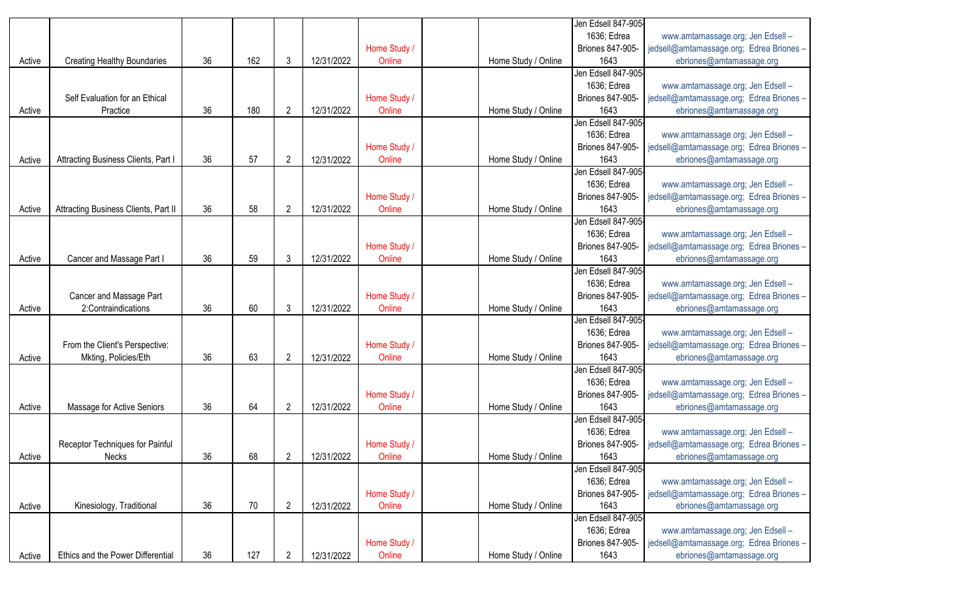|        |                                      |    |     |                |            |              |                     | Jen Edsell 847-905-     |                                          |
|--------|--------------------------------------|----|-----|----------------|------------|--------------|---------------------|-------------------------|------------------------------------------|
|        |                                      |    |     |                |            |              |                     | 1636; Edrea             | www.amtamassage.org; Jen Edsell -        |
|        |                                      |    |     |                |            | Home Study / |                     | <b>Briones 847-905-</b> | jedsell@amtamassage.org; Edrea Briones - |
| Active | <b>Creating Healthy Boundaries</b>   | 36 | 162 | 3              | 12/31/2022 | Online       | Home Study / Online | 1643                    | ebriones@amtamassage.org                 |
|        |                                      |    |     |                |            |              |                     | Jen Edsell 847-905-     |                                          |
|        |                                      |    |     |                |            |              |                     | 1636; Edrea             | www.amtamassage.org; Jen Edsell -        |
|        | Self Evaluation for an Ethical       |    |     |                |            | Home Study / |                     | Briones 847-905-        | jedsell@amtamassage.org; Edrea Briones - |
| Active | Practice                             | 36 | 180 | $\overline{2}$ | 12/31/2022 | Online       | Home Study / Online | 1643                    | ebriones@amtamassage.org                 |
|        |                                      |    |     |                |            |              |                     | Jen Edsell 847-905-     |                                          |
|        |                                      |    |     |                |            |              |                     | 1636; Edrea             | www.amtamassage.org; Jen Edsell -        |
|        |                                      |    |     |                |            | Home Study / |                     | <b>Briones 847-905-</b> | jedsell@amtamassage.org; Edrea Briones - |
| Active | Attracting Business Clients, Part I  | 36 | 57  | $\overline{2}$ | 12/31/2022 | Online       | Home Study / Online | 1643                    | ebriones@amtamassage.org                 |
|        |                                      |    |     |                |            |              |                     | Jen Edsell 847-905-     |                                          |
|        |                                      |    |     |                |            |              |                     | 1636; Edrea             | www.amtamassage.org; Jen Edsell -        |
|        |                                      |    |     |                |            | Home Study / |                     | Briones 847-905-        | jedsell@amtamassage.org; Edrea Briones - |
| Active | Attracting Business Clients, Part II | 36 | 58  | $\overline{2}$ | 12/31/2022 | Online       | Home Study / Online | 1643                    | ebriones@amtamassage.org                 |
|        |                                      |    |     |                |            |              |                     | Jen Edsell 847-905-     |                                          |
|        |                                      |    |     |                |            |              |                     | 1636; Edrea             | www.amtamassage.org; Jen Edsell -        |
|        |                                      |    |     |                |            | Home Study / |                     | Briones 847-905-        | jedsell@amtamassage.org; Edrea Briones - |
| Active | Cancer and Massage Part I            | 36 | 59  | 3              | 12/31/2022 | Online       | Home Study / Online | 1643                    | ebriones@amtamassage.org                 |
|        |                                      |    |     |                |            |              |                     | Jen Edsell 847-905-     |                                          |
|        |                                      |    |     |                |            |              |                     | 1636; Edrea             | www.amtamassage.org; Jen Edsell -        |
|        | Cancer and Massage Part              |    |     |                |            | Home Study / |                     | Briones 847-905-        | jedsell@amtamassage.org; Edrea Briones - |
| Active | 2:Contraindications                  | 36 | 60  | 3              | 12/31/2022 | Online       | Home Study / Online | 1643                    | ebriones@amtamassage.org                 |
|        |                                      |    |     |                |            |              |                     | Jen Edsell 847-905-     |                                          |
|        |                                      |    |     |                |            |              |                     | 1636; Edrea             | www.amtamassage.org; Jen Edsell -        |
|        | From the Client's Perspective:       |    |     |                |            | Home Study / |                     | Briones 847-905-        | jedsell@amtamassage.org; Edrea Briones - |
| Active | Mkting, Policies/Eth                 | 36 | 63  | $\overline{2}$ | 12/31/2022 | Online       | Home Study / Online | 1643                    | ebriones@amtamassage.org                 |
|        |                                      |    |     |                |            |              |                     | Jen Edsell 847-905-     |                                          |
|        |                                      |    |     |                |            |              |                     | 1636; Edrea             | www.amtamassage.org; Jen Edsell -        |
|        |                                      |    |     |                |            | Home Study / |                     | Briones 847-905-        | jedsell@amtamassage.org; Edrea Briones - |
| Active | Massage for Active Seniors           | 36 | 64  | $\overline{2}$ | 12/31/2022 | Online       | Home Study / Online | 1643                    | ebriones@amtamassage.org                 |
|        |                                      |    |     |                |            |              |                     | Jen Edsell 847-905-     |                                          |
|        |                                      |    |     |                |            |              |                     | 1636; Edrea             | www.amtamassage.org; Jen Edsell -        |
|        | Receptor Techniques for Painful      |    |     |                |            | Home Study / |                     | Briones 847-905-        | jedsell@amtamassage.org; Edrea Briones - |
| Active | Necks                                | 36 | 68  | 2              | 12/31/2022 | Online       | Home Study / Online | 1643                    | ebriones@amtamassage.org                 |
|        |                                      |    |     |                |            |              |                     | Jen Edsell 847-905-     |                                          |
|        |                                      |    |     |                |            |              |                     | 1636; Edrea             | www.amtamassage.org; Jen Edsell -        |
|        |                                      |    |     |                |            | Home Study / |                     | Briones 847-905-        | jedsell@amtamassage.org; Edrea Briones-  |
| Active | Kinesiology, Traditional             | 36 | 70  | $\overline{2}$ | 12/31/2022 | Online       | Home Study / Online | 1643                    | ebriones@amtamassage.org                 |
|        |                                      |    |     |                |            |              |                     | Jen Edsell 847-905-     |                                          |
|        |                                      |    |     |                |            |              |                     | 1636; Edrea             | www.amtamassage.org; Jen Edsell -        |
|        |                                      |    |     |                |            | Home Study / |                     | Briones 847-905-        | jedsell@amtamassage.org; Edrea Briones - |
| Active | Ethics and the Power Differential    | 36 | 127 | $\overline{2}$ | 12/31/2022 | Online       | Home Study / Online | 1643                    | ebriones@amtamassage.org                 |
|        |                                      |    |     |                |            |              |                     |                         |                                          |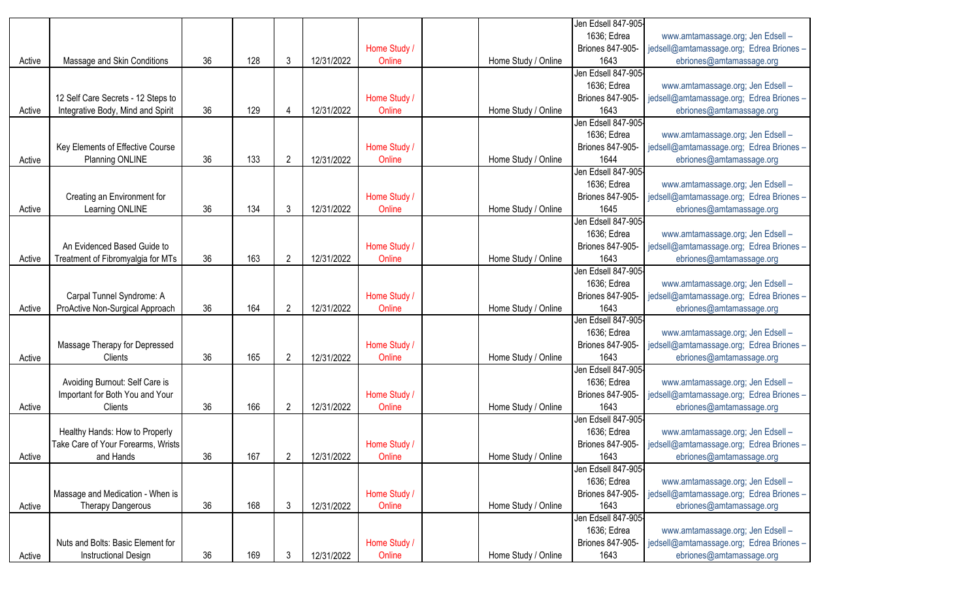|        |                                    |    |     |                |            |              |                     | Jen Edsell 847-905-     |                                          |
|--------|------------------------------------|----|-----|----------------|------------|--------------|---------------------|-------------------------|------------------------------------------|
|        |                                    |    |     |                |            |              |                     | 1636; Edrea             | www.amtamassage.org; Jen Edsell -        |
|        |                                    |    |     |                |            | Home Study / |                     | <b>Briones 847-905-</b> | jedsell@amtamassage.org; Edrea Briones - |
| Active | Massage and Skin Conditions        | 36 | 128 | 3              | 12/31/2022 | Online       | Home Study / Online | 1643                    | ebriones@amtamassage.org                 |
|        |                                    |    |     |                |            |              |                     | Jen Edsell 847-905-     |                                          |
|        |                                    |    |     |                |            |              |                     | 1636; Edrea             | www.amtamassage.org; Jen Edsell -        |
|        | 12 Self Care Secrets - 12 Steps to |    |     |                |            | Home Study / |                     | Briones 847-905-        | jedsell@amtamassage.org; Edrea Briones - |
| Active | Integrative Body, Mind and Spirit  | 36 | 129 | 4              | 12/31/2022 | Online       | Home Study / Online | 1643                    | ebriones@amtamassage.org                 |
|        |                                    |    |     |                |            |              |                     | Jen Edsell 847-905      |                                          |
|        |                                    |    |     |                |            |              |                     | 1636; Edrea             | www.amtamassage.org; Jen Edsell -        |
|        | Key Elements of Effective Course   |    |     |                |            | Home Study / |                     | Briones 847-905-        | jedsell@amtamassage.org; Edrea Briones - |
| Active | Planning ONLINE                    | 36 | 133 | $\overline{2}$ | 12/31/2022 | Online       | Home Study / Online | 1644                    | ebriones@amtamassage.org                 |
|        |                                    |    |     |                |            |              |                     | Jen Edsell 847-905-     |                                          |
|        |                                    |    |     |                |            |              |                     | 1636; Edrea             | www.amtamassage.org; Jen Edsell -        |
|        | Creating an Environment for        |    |     |                |            | Home Study / |                     | Briones 847-905-        | jedsell@amtamassage.org; Edrea Briones - |
| Active | Learning ONLINE                    | 36 | 134 | 3              | 12/31/2022 | Online       | Home Study / Online | 1645                    | ebriones@amtamassage.org                 |
|        |                                    |    |     |                |            |              |                     | Jen Edsell 847-905-     |                                          |
|        |                                    |    |     |                |            |              |                     | 1636; Edrea             | www.amtamassage.org; Jen Edsell -        |
|        | An Evidenced Based Guide to        |    |     |                |            | Home Study / |                     | <b>Briones 847-905-</b> | jedsell@amtamassage.org; Edrea Briones - |
| Active | Treatment of Fibromyalgia for MTs  | 36 | 163 | $\overline{c}$ | 12/31/2022 | Online       | Home Study / Online | 1643                    | ebriones@amtamassage.org                 |
|        |                                    |    |     |                |            |              |                     | Jen Edsell 847-905-     |                                          |
|        |                                    |    |     |                |            |              |                     | 1636; Edrea             | www.amtamassage.org; Jen Edsell -        |
|        | Carpal Tunnel Syndrome: A          |    |     |                |            | Home Study / |                     | Briones 847-905-        | jedsell@amtamassage.org; Edrea Briones - |
| Active | ProActive Non-Surgical Approach    | 36 | 164 | $\overline{2}$ | 12/31/2022 | Online       | Home Study / Online | 1643                    | ebriones@amtamassage.org                 |
|        |                                    |    |     |                |            |              |                     | Jen Edsell 847-905-     |                                          |
|        |                                    |    |     |                |            |              |                     | 1636; Edrea             | www.amtamassage.org; Jen Edsell -        |
|        | Massage Therapy for Depressed      |    |     |                |            | Home Study / |                     | <b>Briones 847-905-</b> | jedsell@amtamassage.org; Edrea Briones - |
| Active | Clients                            | 36 | 165 | $\overline{2}$ | 12/31/2022 | Online       | Home Study / Online | 1643                    | ebriones@amtamassage.org                 |
|        |                                    |    |     |                |            |              |                     | Jen Edsell 847-905-     |                                          |
|        | Avoiding Burnout: Self Care is     |    |     |                |            |              |                     | 1636; Edrea             | www.amtamassage.org; Jen Edsell -        |
|        | Important for Both You and Your    |    |     |                |            | Home Study / |                     | <b>Briones 847-905-</b> | jedsell@amtamassage.org; Edrea Briones - |
|        | Clients                            | 36 | 166 | $\overline{2}$ | 12/31/2022 | Online       | Home Study / Online | 1643                    |                                          |
| Active |                                    |    |     |                |            |              |                     | Jen Edsell 847-905-     | ebriones@amtamassage.org                 |
|        |                                    |    |     |                |            |              |                     | 1636; Edrea             | www.amtamassage.org; Jen Edsell -        |
|        | Healthy Hands: How to Properly     |    |     |                |            |              |                     |                         |                                          |
|        | Take Care of Your Forearms, Wrists |    |     |                |            | Home Study / |                     | Briones 847-905-        | jedsell@amtamassage.org; Edrea Briones - |
| Active | and Hands                          | 36 | 167 | 2              | 12/31/2022 | Online       | Home Study / Online | 1643                    | ebriones@amtamassage.org                 |
|        |                                    |    |     |                |            |              |                     | Jen Edsell 847-905-     |                                          |
|        |                                    |    |     |                |            |              |                     | 1636; Edrea             | www.amtamassage.org; Jen Edsell -        |
|        | Massage and Medication - When is   |    |     |                |            | Home Study / |                     | Briones 847-905-        | jedsell@amtamassage.org; Edrea Briones - |
| Active | <b>Therapy Dangerous</b>           | 36 | 168 | 3              | 12/31/2022 | Online       | Home Study / Online | 1643                    | ebriones@amtamassage.org                 |
|        |                                    |    |     |                |            |              |                     | Jen Edsell 847-905-     |                                          |
|        |                                    |    |     |                |            |              |                     | 1636; Edrea             | www.amtamassage.org; Jen Edsell -        |
|        | Nuts and Bolts: Basic Element for  |    |     |                |            | Home Study / |                     | <b>Briones 847-905-</b> | jedsell@amtamassage.org; Edrea Briones - |
| Active | Instructional Design               | 36 | 169 | 3              | 12/31/2022 | Online       | Home Study / Online | 1643                    | ebriones@amtamassage.org                 |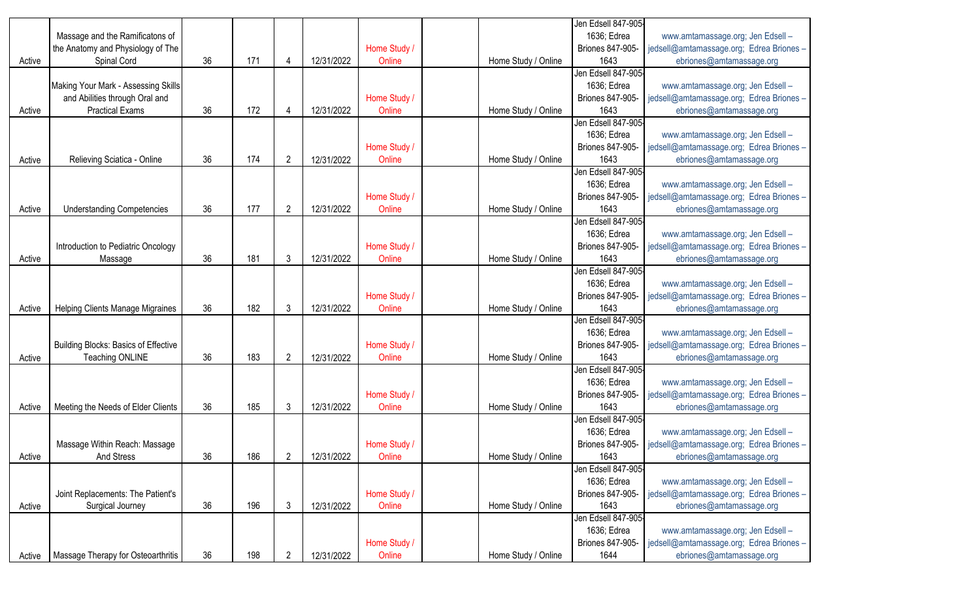| 1636; Edrea<br>Massage and the Ramificatons of<br>www.amtamassage.org; Jen Edsell -<br>the Anatomy and Physiology of The<br>Home Study /<br>Briones 847-905-<br>jedsell@amtamassage.org; Edrea Briones -<br>Spinal Cord<br>36<br>171<br>1643<br>12/31/2022<br>Online<br>Home Study / Online<br>ebriones@amtamassage.org<br>Active<br>4<br>Jen Edsell 847-905-<br>Making Your Mark - Assessing Skills<br>1636; Edrea<br>www.amtamassage.org; Jen Edsell -<br>and Abilities through Oral and<br>Home Study /<br>Briones 847-905-<br>jedsell@amtamassage.org; Edrea Briones -<br>172<br><b>Practical Exams</b><br>36<br>Online<br>1643<br>12/31/2022<br>Home Study / Online<br>ebriones@amtamassage.org<br>Active<br>4<br>Jen Edsell 847-905-<br>1636; Edrea<br>www.amtamassage.org; Jen Edsell -<br>Home Study /<br>Briones 847-905-<br>jedsell@amtamassage.org; Edrea Briones -<br>174<br>Online<br>1643<br>Relieving Sciatica - Online<br>36<br>$\overline{2}$<br>12/31/2022<br>Home Study / Online<br>ebriones@amtamassage.org<br>Active<br>Jen Edsell 847-905-<br>www.amtamassage.org; Jen Edsell -<br>1636; Edrea<br>Home Study /<br>jedsell@amtamassage.org; Edrea Briones -<br>Briones 847-905-<br>177<br>$\overline{2}$<br>36<br>12/31/2022<br>Online<br>Home Study / Online<br>1643<br>Active<br><b>Understanding Competencies</b><br>ebriones@amtamassage.org<br>Jen Edsell 847-905-<br>1636; Edrea<br>www.amtamassage.org; Jen Edsell -<br>Home Study /<br>jedsell@amtamassage.org; Edrea Briones -<br>Introduction to Pediatric Oncology<br>Briones 847-905-<br>181<br>36<br>3<br>1643<br>Online<br>Home Study / Online<br>ebriones@amtamassage.org<br>Massage<br>12/31/2022<br>Active<br>Jen Edsell 847-905-<br>1636; Edrea<br>www.amtamassage.org; Jen Edsell -<br>Home Study /<br><b>Briones 847-905-</b><br>jedsell@amtamassage.org; Edrea Briones -<br>182<br>36<br>$\mathfrak{Z}$<br>12/31/2022<br>Online<br>Home Study / Online<br>1643<br>Helping Clients Manage Migraines<br>ebriones@amtamassage.org<br>Active<br>Jen Edsell 847-905-<br>1636; Edrea<br>www.amtamassage.org; Jen Edsell -<br>Building Blocks: Basics of Effective<br>Home Study /<br>jedsell@amtamassage.org; Edrea Briones -<br>Briones 847-905-<br>36<br>183<br>$\overline{2}$<br>1643<br>12/31/2022<br>Online<br>Active<br><b>Teaching ONLINE</b><br>Home Study / Online<br>ebriones@amtamassage.org<br>Jen Edsell 847-905-<br>1636; Edrea<br>www.amtamassage.org; Jen Edsell -<br>Home Study /<br>jedsell@amtamassage.org; Edrea Briones -<br>Briones 847-905-<br>36<br>185<br>$\mathfrak{Z}$<br>Online<br>1643<br>Meeting the Needs of Elder Clients<br>12/31/2022<br>Home Study / Online<br>ebriones@amtamassage.org<br>Active<br>Jen Edsell 847-905-<br>1636; Edrea<br>www.amtamassage.org; Jen Edsell -<br>Massage Within Reach: Massage<br>Home Study /<br>Briones 847-905-<br>jedsell@amtamassage.org; Edrea Briones -<br>Home Study / Online<br>Active<br><b>And Stress</b><br>36<br>186<br>2<br>12/31/2022<br>Online<br>1643<br>ebriones@amtamassage.org |  |  |  |  | Jen Edsell 847-905- |  |
|----------------------------------------------------------------------------------------------------------------------------------------------------------------------------------------------------------------------------------------------------------------------------------------------------------------------------------------------------------------------------------------------------------------------------------------------------------------------------------------------------------------------------------------------------------------------------------------------------------------------------------------------------------------------------------------------------------------------------------------------------------------------------------------------------------------------------------------------------------------------------------------------------------------------------------------------------------------------------------------------------------------------------------------------------------------------------------------------------------------------------------------------------------------------------------------------------------------------------------------------------------------------------------------------------------------------------------------------------------------------------------------------------------------------------------------------------------------------------------------------------------------------------------------------------------------------------------------------------------------------------------------------------------------------------------------------------------------------------------------------------------------------------------------------------------------------------------------------------------------------------------------------------------------------------------------------------------------------------------------------------------------------------------------------------------------------------------------------------------------------------------------------------------------------------------------------------------------------------------------------------------------------------------------------------------------------------------------------------------------------------------------------------------------------------------------------------------------------------------------------------------------------------------------------------------------------------------------------------------------------------------------------------------------------------------------------------------------------------------------------------------------------------------------------------------------------------------------------------------------------------------------------------------------------------------------------------------------------------------------------------------------------------------------------------------|--|--|--|--|---------------------|--|
|                                                                                                                                                                                                                                                                                                                                                                                                                                                                                                                                                                                                                                                                                                                                                                                                                                                                                                                                                                                                                                                                                                                                                                                                                                                                                                                                                                                                                                                                                                                                                                                                                                                                                                                                                                                                                                                                                                                                                                                                                                                                                                                                                                                                                                                                                                                                                                                                                                                                                                                                                                                                                                                                                                                                                                                                                                                                                                                                                                                                                                                          |  |  |  |  |                     |  |
|                                                                                                                                                                                                                                                                                                                                                                                                                                                                                                                                                                                                                                                                                                                                                                                                                                                                                                                                                                                                                                                                                                                                                                                                                                                                                                                                                                                                                                                                                                                                                                                                                                                                                                                                                                                                                                                                                                                                                                                                                                                                                                                                                                                                                                                                                                                                                                                                                                                                                                                                                                                                                                                                                                                                                                                                                                                                                                                                                                                                                                                          |  |  |  |  |                     |  |
|                                                                                                                                                                                                                                                                                                                                                                                                                                                                                                                                                                                                                                                                                                                                                                                                                                                                                                                                                                                                                                                                                                                                                                                                                                                                                                                                                                                                                                                                                                                                                                                                                                                                                                                                                                                                                                                                                                                                                                                                                                                                                                                                                                                                                                                                                                                                                                                                                                                                                                                                                                                                                                                                                                                                                                                                                                                                                                                                                                                                                                                          |  |  |  |  |                     |  |
|                                                                                                                                                                                                                                                                                                                                                                                                                                                                                                                                                                                                                                                                                                                                                                                                                                                                                                                                                                                                                                                                                                                                                                                                                                                                                                                                                                                                                                                                                                                                                                                                                                                                                                                                                                                                                                                                                                                                                                                                                                                                                                                                                                                                                                                                                                                                                                                                                                                                                                                                                                                                                                                                                                                                                                                                                                                                                                                                                                                                                                                          |  |  |  |  |                     |  |
|                                                                                                                                                                                                                                                                                                                                                                                                                                                                                                                                                                                                                                                                                                                                                                                                                                                                                                                                                                                                                                                                                                                                                                                                                                                                                                                                                                                                                                                                                                                                                                                                                                                                                                                                                                                                                                                                                                                                                                                                                                                                                                                                                                                                                                                                                                                                                                                                                                                                                                                                                                                                                                                                                                                                                                                                                                                                                                                                                                                                                                                          |  |  |  |  |                     |  |
|                                                                                                                                                                                                                                                                                                                                                                                                                                                                                                                                                                                                                                                                                                                                                                                                                                                                                                                                                                                                                                                                                                                                                                                                                                                                                                                                                                                                                                                                                                                                                                                                                                                                                                                                                                                                                                                                                                                                                                                                                                                                                                                                                                                                                                                                                                                                                                                                                                                                                                                                                                                                                                                                                                                                                                                                                                                                                                                                                                                                                                                          |  |  |  |  |                     |  |
|                                                                                                                                                                                                                                                                                                                                                                                                                                                                                                                                                                                                                                                                                                                                                                                                                                                                                                                                                                                                                                                                                                                                                                                                                                                                                                                                                                                                                                                                                                                                                                                                                                                                                                                                                                                                                                                                                                                                                                                                                                                                                                                                                                                                                                                                                                                                                                                                                                                                                                                                                                                                                                                                                                                                                                                                                                                                                                                                                                                                                                                          |  |  |  |  |                     |  |
|                                                                                                                                                                                                                                                                                                                                                                                                                                                                                                                                                                                                                                                                                                                                                                                                                                                                                                                                                                                                                                                                                                                                                                                                                                                                                                                                                                                                                                                                                                                                                                                                                                                                                                                                                                                                                                                                                                                                                                                                                                                                                                                                                                                                                                                                                                                                                                                                                                                                                                                                                                                                                                                                                                                                                                                                                                                                                                                                                                                                                                                          |  |  |  |  |                     |  |
|                                                                                                                                                                                                                                                                                                                                                                                                                                                                                                                                                                                                                                                                                                                                                                                                                                                                                                                                                                                                                                                                                                                                                                                                                                                                                                                                                                                                                                                                                                                                                                                                                                                                                                                                                                                                                                                                                                                                                                                                                                                                                                                                                                                                                                                                                                                                                                                                                                                                                                                                                                                                                                                                                                                                                                                                                                                                                                                                                                                                                                                          |  |  |  |  |                     |  |
|                                                                                                                                                                                                                                                                                                                                                                                                                                                                                                                                                                                                                                                                                                                                                                                                                                                                                                                                                                                                                                                                                                                                                                                                                                                                                                                                                                                                                                                                                                                                                                                                                                                                                                                                                                                                                                                                                                                                                                                                                                                                                                                                                                                                                                                                                                                                                                                                                                                                                                                                                                                                                                                                                                                                                                                                                                                                                                                                                                                                                                                          |  |  |  |  |                     |  |
|                                                                                                                                                                                                                                                                                                                                                                                                                                                                                                                                                                                                                                                                                                                                                                                                                                                                                                                                                                                                                                                                                                                                                                                                                                                                                                                                                                                                                                                                                                                                                                                                                                                                                                                                                                                                                                                                                                                                                                                                                                                                                                                                                                                                                                                                                                                                                                                                                                                                                                                                                                                                                                                                                                                                                                                                                                                                                                                                                                                                                                                          |  |  |  |  |                     |  |
|                                                                                                                                                                                                                                                                                                                                                                                                                                                                                                                                                                                                                                                                                                                                                                                                                                                                                                                                                                                                                                                                                                                                                                                                                                                                                                                                                                                                                                                                                                                                                                                                                                                                                                                                                                                                                                                                                                                                                                                                                                                                                                                                                                                                                                                                                                                                                                                                                                                                                                                                                                                                                                                                                                                                                                                                                                                                                                                                                                                                                                                          |  |  |  |  |                     |  |
|                                                                                                                                                                                                                                                                                                                                                                                                                                                                                                                                                                                                                                                                                                                                                                                                                                                                                                                                                                                                                                                                                                                                                                                                                                                                                                                                                                                                                                                                                                                                                                                                                                                                                                                                                                                                                                                                                                                                                                                                                                                                                                                                                                                                                                                                                                                                                                                                                                                                                                                                                                                                                                                                                                                                                                                                                                                                                                                                                                                                                                                          |  |  |  |  |                     |  |
|                                                                                                                                                                                                                                                                                                                                                                                                                                                                                                                                                                                                                                                                                                                                                                                                                                                                                                                                                                                                                                                                                                                                                                                                                                                                                                                                                                                                                                                                                                                                                                                                                                                                                                                                                                                                                                                                                                                                                                                                                                                                                                                                                                                                                                                                                                                                                                                                                                                                                                                                                                                                                                                                                                                                                                                                                                                                                                                                                                                                                                                          |  |  |  |  |                     |  |
|                                                                                                                                                                                                                                                                                                                                                                                                                                                                                                                                                                                                                                                                                                                                                                                                                                                                                                                                                                                                                                                                                                                                                                                                                                                                                                                                                                                                                                                                                                                                                                                                                                                                                                                                                                                                                                                                                                                                                                                                                                                                                                                                                                                                                                                                                                                                                                                                                                                                                                                                                                                                                                                                                                                                                                                                                                                                                                                                                                                                                                                          |  |  |  |  |                     |  |
|                                                                                                                                                                                                                                                                                                                                                                                                                                                                                                                                                                                                                                                                                                                                                                                                                                                                                                                                                                                                                                                                                                                                                                                                                                                                                                                                                                                                                                                                                                                                                                                                                                                                                                                                                                                                                                                                                                                                                                                                                                                                                                                                                                                                                                                                                                                                                                                                                                                                                                                                                                                                                                                                                                                                                                                                                                                                                                                                                                                                                                                          |  |  |  |  |                     |  |
|                                                                                                                                                                                                                                                                                                                                                                                                                                                                                                                                                                                                                                                                                                                                                                                                                                                                                                                                                                                                                                                                                                                                                                                                                                                                                                                                                                                                                                                                                                                                                                                                                                                                                                                                                                                                                                                                                                                                                                                                                                                                                                                                                                                                                                                                                                                                                                                                                                                                                                                                                                                                                                                                                                                                                                                                                                                                                                                                                                                                                                                          |  |  |  |  |                     |  |
|                                                                                                                                                                                                                                                                                                                                                                                                                                                                                                                                                                                                                                                                                                                                                                                                                                                                                                                                                                                                                                                                                                                                                                                                                                                                                                                                                                                                                                                                                                                                                                                                                                                                                                                                                                                                                                                                                                                                                                                                                                                                                                                                                                                                                                                                                                                                                                                                                                                                                                                                                                                                                                                                                                                                                                                                                                                                                                                                                                                                                                                          |  |  |  |  |                     |  |
|                                                                                                                                                                                                                                                                                                                                                                                                                                                                                                                                                                                                                                                                                                                                                                                                                                                                                                                                                                                                                                                                                                                                                                                                                                                                                                                                                                                                                                                                                                                                                                                                                                                                                                                                                                                                                                                                                                                                                                                                                                                                                                                                                                                                                                                                                                                                                                                                                                                                                                                                                                                                                                                                                                                                                                                                                                                                                                                                                                                                                                                          |  |  |  |  |                     |  |
|                                                                                                                                                                                                                                                                                                                                                                                                                                                                                                                                                                                                                                                                                                                                                                                                                                                                                                                                                                                                                                                                                                                                                                                                                                                                                                                                                                                                                                                                                                                                                                                                                                                                                                                                                                                                                                                                                                                                                                                                                                                                                                                                                                                                                                                                                                                                                                                                                                                                                                                                                                                                                                                                                                                                                                                                                                                                                                                                                                                                                                                          |  |  |  |  |                     |  |
|                                                                                                                                                                                                                                                                                                                                                                                                                                                                                                                                                                                                                                                                                                                                                                                                                                                                                                                                                                                                                                                                                                                                                                                                                                                                                                                                                                                                                                                                                                                                                                                                                                                                                                                                                                                                                                                                                                                                                                                                                                                                                                                                                                                                                                                                                                                                                                                                                                                                                                                                                                                                                                                                                                                                                                                                                                                                                                                                                                                                                                                          |  |  |  |  |                     |  |
|                                                                                                                                                                                                                                                                                                                                                                                                                                                                                                                                                                                                                                                                                                                                                                                                                                                                                                                                                                                                                                                                                                                                                                                                                                                                                                                                                                                                                                                                                                                                                                                                                                                                                                                                                                                                                                                                                                                                                                                                                                                                                                                                                                                                                                                                                                                                                                                                                                                                                                                                                                                                                                                                                                                                                                                                                                                                                                                                                                                                                                                          |  |  |  |  |                     |  |
|                                                                                                                                                                                                                                                                                                                                                                                                                                                                                                                                                                                                                                                                                                                                                                                                                                                                                                                                                                                                                                                                                                                                                                                                                                                                                                                                                                                                                                                                                                                                                                                                                                                                                                                                                                                                                                                                                                                                                                                                                                                                                                                                                                                                                                                                                                                                                                                                                                                                                                                                                                                                                                                                                                                                                                                                                                                                                                                                                                                                                                                          |  |  |  |  |                     |  |
|                                                                                                                                                                                                                                                                                                                                                                                                                                                                                                                                                                                                                                                                                                                                                                                                                                                                                                                                                                                                                                                                                                                                                                                                                                                                                                                                                                                                                                                                                                                                                                                                                                                                                                                                                                                                                                                                                                                                                                                                                                                                                                                                                                                                                                                                                                                                                                                                                                                                                                                                                                                                                                                                                                                                                                                                                                                                                                                                                                                                                                                          |  |  |  |  |                     |  |
|                                                                                                                                                                                                                                                                                                                                                                                                                                                                                                                                                                                                                                                                                                                                                                                                                                                                                                                                                                                                                                                                                                                                                                                                                                                                                                                                                                                                                                                                                                                                                                                                                                                                                                                                                                                                                                                                                                                                                                                                                                                                                                                                                                                                                                                                                                                                                                                                                                                                                                                                                                                                                                                                                                                                                                                                                                                                                                                                                                                                                                                          |  |  |  |  |                     |  |
|                                                                                                                                                                                                                                                                                                                                                                                                                                                                                                                                                                                                                                                                                                                                                                                                                                                                                                                                                                                                                                                                                                                                                                                                                                                                                                                                                                                                                                                                                                                                                                                                                                                                                                                                                                                                                                                                                                                                                                                                                                                                                                                                                                                                                                                                                                                                                                                                                                                                                                                                                                                                                                                                                                                                                                                                                                                                                                                                                                                                                                                          |  |  |  |  |                     |  |
|                                                                                                                                                                                                                                                                                                                                                                                                                                                                                                                                                                                                                                                                                                                                                                                                                                                                                                                                                                                                                                                                                                                                                                                                                                                                                                                                                                                                                                                                                                                                                                                                                                                                                                                                                                                                                                                                                                                                                                                                                                                                                                                                                                                                                                                                                                                                                                                                                                                                                                                                                                                                                                                                                                                                                                                                                                                                                                                                                                                                                                                          |  |  |  |  |                     |  |
|                                                                                                                                                                                                                                                                                                                                                                                                                                                                                                                                                                                                                                                                                                                                                                                                                                                                                                                                                                                                                                                                                                                                                                                                                                                                                                                                                                                                                                                                                                                                                                                                                                                                                                                                                                                                                                                                                                                                                                                                                                                                                                                                                                                                                                                                                                                                                                                                                                                                                                                                                                                                                                                                                                                                                                                                                                                                                                                                                                                                                                                          |  |  |  |  |                     |  |
|                                                                                                                                                                                                                                                                                                                                                                                                                                                                                                                                                                                                                                                                                                                                                                                                                                                                                                                                                                                                                                                                                                                                                                                                                                                                                                                                                                                                                                                                                                                                                                                                                                                                                                                                                                                                                                                                                                                                                                                                                                                                                                                                                                                                                                                                                                                                                                                                                                                                                                                                                                                                                                                                                                                                                                                                                                                                                                                                                                                                                                                          |  |  |  |  |                     |  |
|                                                                                                                                                                                                                                                                                                                                                                                                                                                                                                                                                                                                                                                                                                                                                                                                                                                                                                                                                                                                                                                                                                                                                                                                                                                                                                                                                                                                                                                                                                                                                                                                                                                                                                                                                                                                                                                                                                                                                                                                                                                                                                                                                                                                                                                                                                                                                                                                                                                                                                                                                                                                                                                                                                                                                                                                                                                                                                                                                                                                                                                          |  |  |  |  |                     |  |
|                                                                                                                                                                                                                                                                                                                                                                                                                                                                                                                                                                                                                                                                                                                                                                                                                                                                                                                                                                                                                                                                                                                                                                                                                                                                                                                                                                                                                                                                                                                                                                                                                                                                                                                                                                                                                                                                                                                                                                                                                                                                                                                                                                                                                                                                                                                                                                                                                                                                                                                                                                                                                                                                                                                                                                                                                                                                                                                                                                                                                                                          |  |  |  |  |                     |  |
|                                                                                                                                                                                                                                                                                                                                                                                                                                                                                                                                                                                                                                                                                                                                                                                                                                                                                                                                                                                                                                                                                                                                                                                                                                                                                                                                                                                                                                                                                                                                                                                                                                                                                                                                                                                                                                                                                                                                                                                                                                                                                                                                                                                                                                                                                                                                                                                                                                                                                                                                                                                                                                                                                                                                                                                                                                                                                                                                                                                                                                                          |  |  |  |  |                     |  |
|                                                                                                                                                                                                                                                                                                                                                                                                                                                                                                                                                                                                                                                                                                                                                                                                                                                                                                                                                                                                                                                                                                                                                                                                                                                                                                                                                                                                                                                                                                                                                                                                                                                                                                                                                                                                                                                                                                                                                                                                                                                                                                                                                                                                                                                                                                                                                                                                                                                                                                                                                                                                                                                                                                                                                                                                                                                                                                                                                                                                                                                          |  |  |  |  |                     |  |
|                                                                                                                                                                                                                                                                                                                                                                                                                                                                                                                                                                                                                                                                                                                                                                                                                                                                                                                                                                                                                                                                                                                                                                                                                                                                                                                                                                                                                                                                                                                                                                                                                                                                                                                                                                                                                                                                                                                                                                                                                                                                                                                                                                                                                                                                                                                                                                                                                                                                                                                                                                                                                                                                                                                                                                                                                                                                                                                                                                                                                                                          |  |  |  |  |                     |  |
|                                                                                                                                                                                                                                                                                                                                                                                                                                                                                                                                                                                                                                                                                                                                                                                                                                                                                                                                                                                                                                                                                                                                                                                                                                                                                                                                                                                                                                                                                                                                                                                                                                                                                                                                                                                                                                                                                                                                                                                                                                                                                                                                                                                                                                                                                                                                                                                                                                                                                                                                                                                                                                                                                                                                                                                                                                                                                                                                                                                                                                                          |  |  |  |  |                     |  |
|                                                                                                                                                                                                                                                                                                                                                                                                                                                                                                                                                                                                                                                                                                                                                                                                                                                                                                                                                                                                                                                                                                                                                                                                                                                                                                                                                                                                                                                                                                                                                                                                                                                                                                                                                                                                                                                                                                                                                                                                                                                                                                                                                                                                                                                                                                                                                                                                                                                                                                                                                                                                                                                                                                                                                                                                                                                                                                                                                                                                                                                          |  |  |  |  |                     |  |
|                                                                                                                                                                                                                                                                                                                                                                                                                                                                                                                                                                                                                                                                                                                                                                                                                                                                                                                                                                                                                                                                                                                                                                                                                                                                                                                                                                                                                                                                                                                                                                                                                                                                                                                                                                                                                                                                                                                                                                                                                                                                                                                                                                                                                                                                                                                                                                                                                                                                                                                                                                                                                                                                                                                                                                                                                                                                                                                                                                                                                                                          |  |  |  |  | Jen Edsell 847-905- |  |
| 1636; Edrea<br>www.amtamassage.org; Jen Edsell -                                                                                                                                                                                                                                                                                                                                                                                                                                                                                                                                                                                                                                                                                                                                                                                                                                                                                                                                                                                                                                                                                                                                                                                                                                                                                                                                                                                                                                                                                                                                                                                                                                                                                                                                                                                                                                                                                                                                                                                                                                                                                                                                                                                                                                                                                                                                                                                                                                                                                                                                                                                                                                                                                                                                                                                                                                                                                                                                                                                                         |  |  |  |  |                     |  |
| jedsell@amtamassage.org; Edrea Briones -<br>Joint Replacements: The Patient's<br>Home Study /<br><b>Briones 847-905-</b>                                                                                                                                                                                                                                                                                                                                                                                                                                                                                                                                                                                                                                                                                                                                                                                                                                                                                                                                                                                                                                                                                                                                                                                                                                                                                                                                                                                                                                                                                                                                                                                                                                                                                                                                                                                                                                                                                                                                                                                                                                                                                                                                                                                                                                                                                                                                                                                                                                                                                                                                                                                                                                                                                                                                                                                                                                                                                                                                 |  |  |  |  |                     |  |
| 196<br>36<br>$\mathfrak{Z}$<br>12/31/2022<br>Online<br>1643<br>Active<br>Surgical Journey<br>Home Study / Online<br>ebriones@amtamassage.org                                                                                                                                                                                                                                                                                                                                                                                                                                                                                                                                                                                                                                                                                                                                                                                                                                                                                                                                                                                                                                                                                                                                                                                                                                                                                                                                                                                                                                                                                                                                                                                                                                                                                                                                                                                                                                                                                                                                                                                                                                                                                                                                                                                                                                                                                                                                                                                                                                                                                                                                                                                                                                                                                                                                                                                                                                                                                                             |  |  |  |  |                     |  |
| Jen Edsell 847-905-                                                                                                                                                                                                                                                                                                                                                                                                                                                                                                                                                                                                                                                                                                                                                                                                                                                                                                                                                                                                                                                                                                                                                                                                                                                                                                                                                                                                                                                                                                                                                                                                                                                                                                                                                                                                                                                                                                                                                                                                                                                                                                                                                                                                                                                                                                                                                                                                                                                                                                                                                                                                                                                                                                                                                                                                                                                                                                                                                                                                                                      |  |  |  |  |                     |  |
| 1636; Edrea<br>www.amtamassage.org; Jen Edsell -                                                                                                                                                                                                                                                                                                                                                                                                                                                                                                                                                                                                                                                                                                                                                                                                                                                                                                                                                                                                                                                                                                                                                                                                                                                                                                                                                                                                                                                                                                                                                                                                                                                                                                                                                                                                                                                                                                                                                                                                                                                                                                                                                                                                                                                                                                                                                                                                                                                                                                                                                                                                                                                                                                                                                                                                                                                                                                                                                                                                         |  |  |  |  |                     |  |
| Home Study /<br>Briones 847-905-<br>jedsell@amtamassage.org; Edrea Briones -                                                                                                                                                                                                                                                                                                                                                                                                                                                                                                                                                                                                                                                                                                                                                                                                                                                                                                                                                                                                                                                                                                                                                                                                                                                                                                                                                                                                                                                                                                                                                                                                                                                                                                                                                                                                                                                                                                                                                                                                                                                                                                                                                                                                                                                                                                                                                                                                                                                                                                                                                                                                                                                                                                                                                                                                                                                                                                                                                                             |  |  |  |  |                     |  |
| 36<br>198<br>Online<br>$\overline{2}$<br>12/31/2022<br>Home Study / Online<br>1644<br>ebriones@amtamassage.org<br>Massage Therapy for Osteoarthritis<br>Active                                                                                                                                                                                                                                                                                                                                                                                                                                                                                                                                                                                                                                                                                                                                                                                                                                                                                                                                                                                                                                                                                                                                                                                                                                                                                                                                                                                                                                                                                                                                                                                                                                                                                                                                                                                                                                                                                                                                                                                                                                                                                                                                                                                                                                                                                                                                                                                                                                                                                                                                                                                                                                                                                                                                                                                                                                                                                           |  |  |  |  |                     |  |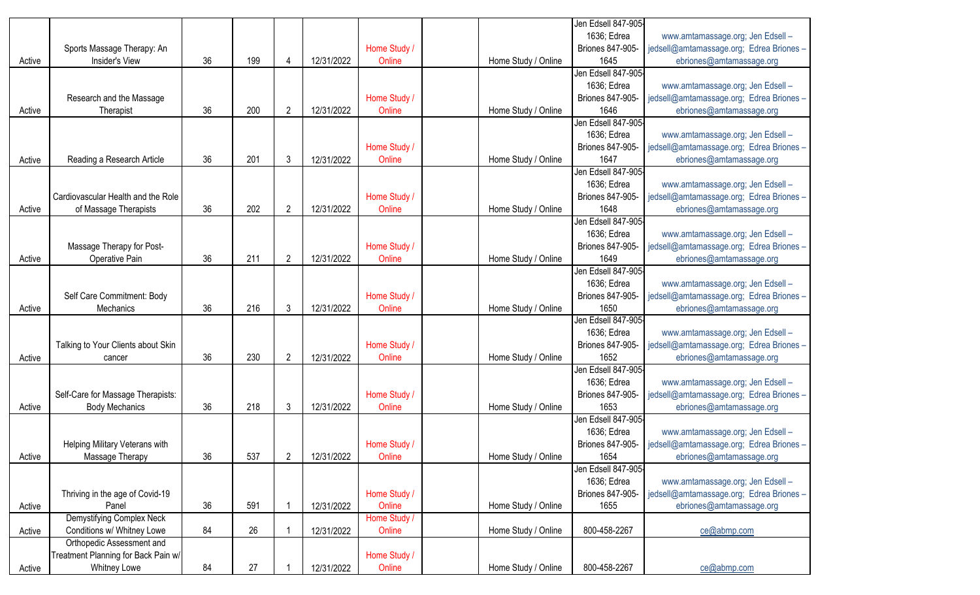|        |                                     |    |     |                |            |              |                     | Jen Edsell 847-905- |                                                             |
|--------|-------------------------------------|----|-----|----------------|------------|--------------|---------------------|---------------------|-------------------------------------------------------------|
|        |                                     |    |     |                |            |              |                     | 1636; Edrea         | www.amtamassage.org; Jen Edsell -                           |
|        | Sports Massage Therapy: An          |    |     |                |            | Home Study / |                     | Briones 847-905-    | jedsell@amtamassage.org; Edrea Briones -                    |
| Active | Insider's View                      | 36 | 199 | 4              | 12/31/2022 | Online       | Home Study / Online | 1645                | ebriones@amtamassage.org                                    |
|        |                                     |    |     |                |            |              |                     | Jen Edsell 847-905- |                                                             |
|        |                                     |    |     |                |            |              |                     | 1636; Edrea         | www.amtamassage.org; Jen Edsell -                           |
|        | Research and the Massage            |    |     |                |            | Home Study / |                     | Briones 847-905-    | jedsell@amtamassage.org; Edrea Briones -                    |
| Active | Therapist                           | 36 | 200 | $\overline{2}$ | 12/31/2022 | Online       | Home Study / Online | 1646                | ebriones@amtamassage.org                                    |
|        |                                     |    |     |                |            |              |                     | Jen Edsell 847-905- |                                                             |
|        |                                     |    |     |                |            |              |                     | 1636; Edrea         | www.amtamassage.org; Jen Edsell -                           |
|        |                                     |    |     |                |            | Home Study / |                     | Briones 847-905-    | jedsell@amtamassage.org; Edrea Briones -                    |
| Active | Reading a Research Article          | 36 | 201 | 3              | 12/31/2022 | Online       | Home Study / Online | 1647                | ebriones@amtamassage.org                                    |
|        |                                     |    |     |                |            |              |                     | Jen Edsell 847-905  |                                                             |
|        |                                     |    |     |                |            |              |                     | 1636; Edrea         | www.amtamassage.org; Jen Edsell -                           |
|        | Cardiovascular Health and the Role  |    |     |                |            | Home Study / |                     | Briones 847-905-    | jedsell@amtamassage.org; Edrea Briones -                    |
|        |                                     |    |     |                |            |              |                     |                     |                                                             |
| Active | of Massage Therapists               | 36 | 202 | $\overline{2}$ | 12/31/2022 | Online       | Home Study / Online | 1648                | ebriones@amtamassage.org                                    |
|        |                                     |    |     |                |            |              |                     | Jen Edsell 847-905- |                                                             |
|        |                                     |    |     |                |            |              |                     | 1636; Edrea         | www.amtamassage.org; Jen Edsell -                           |
|        | Massage Therapy for Post-           |    |     |                |            | Home Study / |                     | Briones 847-905-    | jedsell@amtamassage.org; Edrea Briones -                    |
| Active | Operative Pain                      | 36 | 211 | 2              | 12/31/2022 | Online       | Home Study / Online | 1649                | ebriones@amtamassage.org                                    |
|        |                                     |    |     |                |            |              |                     | Jen Edsell 847-905- |                                                             |
|        |                                     |    |     |                |            |              |                     | 1636; Edrea         | www.amtamassage.org; Jen Edsell -                           |
|        | Self Care Commitment: Body          |    |     |                |            | Home Study / |                     | Briones 847-905-    | jedsell@amtamassage.org; Edrea Briones -                    |
| Active | Mechanics                           | 36 | 216 | 3              | 12/31/2022 | Online       | Home Study / Online | 1650                | ebriones@amtamassage.org                                    |
|        |                                     |    |     |                |            |              |                     | Jen Edsell 847-905- |                                                             |
|        |                                     |    |     |                |            |              |                     | 1636; Edrea         | www.amtamassage.org; Jen Edsell -                           |
|        | Talking to Your Clients about Skin  |    |     |                |            | Home Study / |                     | Briones 847-905-    | jedsell@amtamassage.org; Edrea Briones -                    |
| Active | cancer                              | 36 | 230 | 2              | 12/31/2022 | Online       | Home Study / Online | 1652                | ebriones@amtamassage.org                                    |
|        |                                     |    |     |                |            |              |                     | Jen Edsell 847-905- |                                                             |
|        |                                     |    |     |                |            |              |                     | 1636; Edrea         | www.amtamassage.org; Jen Edsell -                           |
|        | Self-Care for Massage Therapists:   |    |     |                |            | Home Study / |                     | Briones 847-905-    | jedsell@amtamassage.org; Edrea Briones -                    |
| Active | <b>Body Mechanics</b>               | 36 | 218 | 3              | 12/31/2022 | Online       | Home Study / Online | 1653                | ebriones@amtamassage.org                                    |
|        |                                     |    |     |                |            |              |                     | Jen Edsell 847-905- |                                                             |
|        |                                     |    |     |                |            |              |                     | 1636; Edrea         |                                                             |
|        |                                     |    |     |                |            |              |                     |                     | www.amtamassage.org; Jen Edsell -                           |
|        | Helping Military Veterans with      |    |     |                |            | Home Study / |                     |                     | Briones 847-905-   jedsell@amtamassage.org; Edrea Briones - |
| Active | Massage Therapy                     | 36 | 537 | 2              | 12/31/2022 | Online       | Home Study / Online | 1654                | ebriones@amtamassage.org                                    |
|        |                                     |    |     |                |            |              |                     | Jen Edsell 847-905- |                                                             |
|        |                                     |    |     |                |            |              |                     | 1636; Edrea         | www.amtamassage.org; Jen Edsell -                           |
|        | Thriving in the age of Covid-19     |    |     |                |            | Home Study / |                     | Briones 847-905-    | jedsell@amtamassage.org; Edrea Briones -                    |
| Active | Panel                               | 36 | 591 |                | 12/31/2022 | Online       | Home Study / Online | 1655                | ebriones@amtamassage.org                                    |
|        | Demystifying Complex Neck           |    |     |                |            | Home Study / |                     |                     |                                                             |
| Active | Conditions w/ Whitney Lowe          | 84 | 26  |                | 12/31/2022 | Online       | Home Study / Online | 800-458-2267        | ce@abmp.com                                                 |
|        | Orthopedic Assessment and           |    |     |                |            |              |                     |                     |                                                             |
|        | Treatment Planning for Back Pain w/ |    |     |                |            | Home Study / |                     |                     |                                                             |
| Active | Whitney Lowe                        | 84 | 27  |                | 12/31/2022 | Online       | Home Study / Online | 800-458-2267        | ce@abmp.com                                                 |
|        |                                     |    |     |                |            |              |                     |                     |                                                             |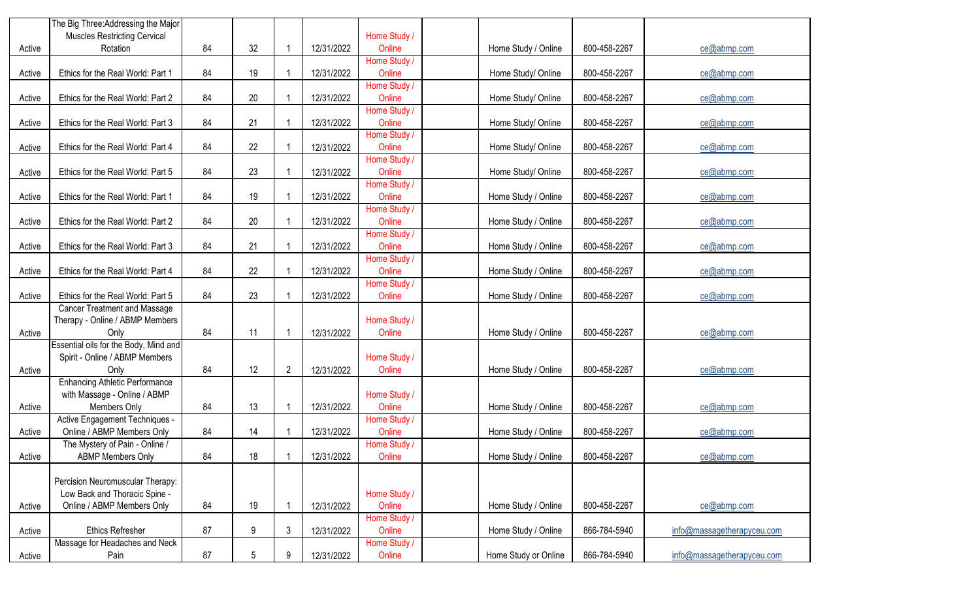|        | The Big Three: Addressing the Major   |    |        |                |            |                        |                      |              |                            |
|--------|---------------------------------------|----|--------|----------------|------------|------------------------|----------------------|--------------|----------------------------|
|        | <b>Muscles Restricting Cervical</b>   |    |        |                |            | Home Study /           |                      |              |                            |
| Active | Rotation                              | 84 | 32     |                | 12/31/2022 | Online                 | Home Study / Online  | 800-458-2267 | ce@abmp.com                |
|        |                                       |    |        |                |            | Home Study /           |                      |              |                            |
| Active | Ethics for the Real World: Part 1     | 84 | 19     |                | 12/31/2022 | Online                 | Home Study/ Online   | 800-458-2267 | ce@abmp.com                |
|        |                                       |    |        |                |            | Home Study /           |                      |              |                            |
| Active | Ethics for the Real World: Part 2     | 84 | $20\,$ |                | 12/31/2022 | Online                 | Home Study/ Online   | 800-458-2267 | ce@abmp.com                |
|        |                                       |    |        |                |            | Home Study /           |                      |              |                            |
| Active | Ethics for the Real World: Part 3     | 84 | 21     |                | 12/31/2022 | Online                 | Home Study/ Online   | 800-458-2267 | ce@abmp.com                |
|        |                                       |    |        |                |            | Home Study /           |                      |              |                            |
| Active | Ethics for the Real World: Part 4     | 84 | 22     |                | 12/31/2022 | Online                 | Home Study/ Online   | 800-458-2267 | ce@abmp.com                |
|        |                                       |    |        |                |            | Home Study /           |                      |              |                            |
| Active | Ethics for the Real World: Part 5     | 84 | 23     |                | 12/31/2022 | Online                 | Home Study/ Online   | 800-458-2267 | ce@abmp.com                |
|        |                                       |    |        |                |            | Home Study /           |                      |              |                            |
| Active | Ethics for the Real World: Part 1     | 84 | 19     |                | 12/31/2022 | Online                 | Home Study / Online  | 800-458-2267 | ce@abmp.com                |
|        |                                       |    |        |                |            | Home Study /           |                      |              |                            |
| Active | Ethics for the Real World: Part 2     | 84 | $20\,$ |                | 12/31/2022 | Online                 | Home Study / Online  | 800-458-2267 | ce@abmp.com                |
|        |                                       |    |        |                |            | Home Study /           |                      |              |                            |
| Active | Ethics for the Real World: Part 3     | 84 | 21     |                | 12/31/2022 | Online                 | Home Study / Online  | 800-458-2267 | ce@abmp.com                |
|        |                                       |    |        |                |            | Home Study /           |                      |              |                            |
| Active | Ethics for the Real World: Part 4     | 84 | 22     |                | 12/31/2022 | Online<br>Home Study / | Home Study / Online  | 800-458-2267 | ce@abmp.com                |
|        | Ethics for the Real World: Part 5     | 84 | 23     |                | 12/31/2022 | Online                 | Home Study / Online  | 800-458-2267 | ce@abmp.com                |
| Active | <b>Cancer Treatment and Massage</b>   |    |        |                |            |                        |                      |              |                            |
|        | Therapy - Online / ABMP Members       |    |        |                |            | Home Study /           |                      |              |                            |
| Active | Only                                  | 84 | 11     |                | 12/31/2022 | Online                 | Home Study / Online  | 800-458-2267 | ce@abmp.com                |
|        | Essential oils for the Body, Mind and |    |        |                |            |                        |                      |              |                            |
|        | Spirit - Online / ABMP Members        |    |        |                |            | Home Study /           |                      |              |                            |
| Active | Only                                  | 84 | 12     | $\overline{2}$ | 12/31/2022 | Online                 | Home Study / Online  | 800-458-2267 | ce@abmp.com                |
|        | <b>Enhancing Athletic Performance</b> |    |        |                |            |                        |                      |              |                            |
|        | with Massage - Online / ABMP          |    |        |                |            | Home Study /           |                      |              |                            |
| Active | Members Only                          | 84 | 13     |                | 12/31/2022 | Online                 | Home Study / Online  | 800-458-2267 | ce@abmp.com                |
|        | Active Engagement Techniques -        |    |        |                |            | Home Study /           |                      |              |                            |
| Active | Online / ABMP Members Only            | 84 | 14     |                | 12/31/2022 | Online                 | Home Study / Online  | 800-458-2267 | ce@abmp.com                |
|        | The Mystery of Pain - Online /        |    |        |                |            | Home Study /           |                      |              |                            |
| Active | <b>ABMP Members Only</b>              | 84 | 18     |                | 12/31/2022 | Online                 | Home Study / Online  | 800-458-2267 | ce@abmp.com                |
|        |                                       |    |        |                |            |                        |                      |              |                            |
|        | Percision Neuromuscular Therapy:      |    |        |                |            |                        |                      |              |                            |
|        | Low Back and Thoracic Spine -         |    |        |                |            | Home Study /           |                      |              |                            |
| Active | Online / ABMP Members Only            | 84 | 19     |                | 12/31/2022 | Online                 | Home Study / Online  | 800-458-2267 | ce@abmp.com                |
|        |                                       |    |        |                |            | Home Study /           |                      |              |                            |
| Active | <b>Ethics Refresher</b>               | 87 | 9      | 3              | 12/31/2022 | Online                 | Home Study / Online  | 866-784-5940 | info@massagetherapyceu.com |
|        | Massage for Headaches and Neck        |    |        |                |            | Home Study /           |                      |              |                            |
| Active | Pain                                  | 87 | 5      | q              | 12/31/2022 | Online                 | Home Study or Online | 866-784-5940 | info@massagetherapyceu.com |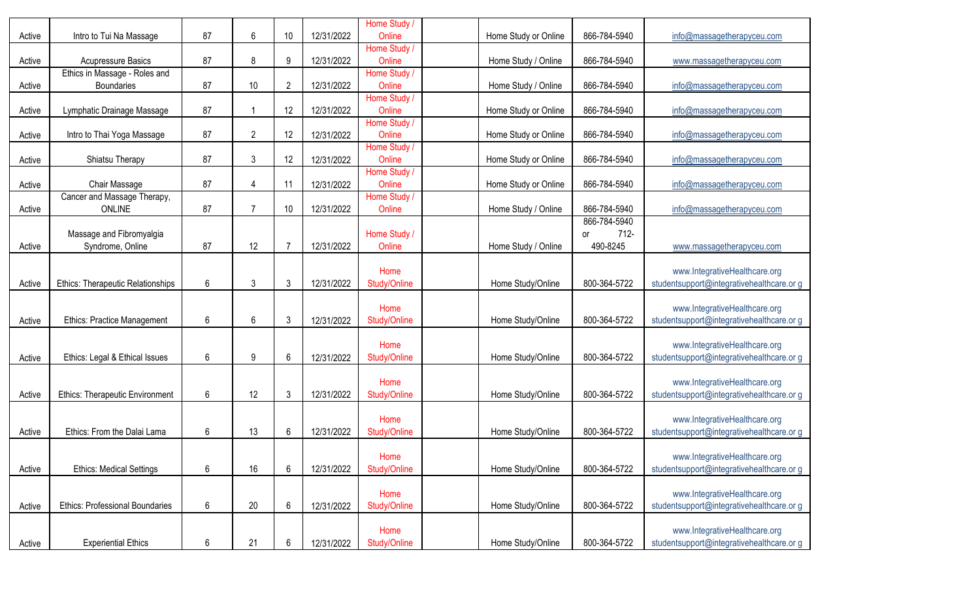| Active | Intro to Tui Na Massage                            | 87 | 6              | 10             | 12/31/2022 | Home Study /<br>Online | Home Study or Online | 866-784-5940                           | info@massagetherapyceu.com                                                 |
|--------|----------------------------------------------------|----|----------------|----------------|------------|------------------------|----------------------|----------------------------------------|----------------------------------------------------------------------------|
| Active | <b>Acupressure Basics</b>                          | 87 | 8              | 9              | 12/31/2022 | Home Study /<br>Online | Home Study / Online  | 866-784-5940                           | www.massagetherapyceu.com                                                  |
| Active | Ethics in Massage - Roles and<br><b>Boundaries</b> | 87 | 10             | $\overline{2}$ | 12/31/2022 | Home Study /<br>Online | Home Study / Online  | 866-784-5940                           | info@massagetherapyceu.com                                                 |
| Active | Lymphatic Drainage Massage                         | 87 | -1             | 12             | 12/31/2022 | Home Study /<br>Online | Home Study or Online | 866-784-5940                           | info@massagetherapyceu.com                                                 |
| Active | Intro to Thai Yoga Massage                         | 87 | $\overline{2}$ | 12             | 12/31/2022 | Home Study /<br>Online | Home Study or Online | 866-784-5940                           | info@massagetherapyceu.com                                                 |
| Active | Shiatsu Therapy                                    | 87 | 3              | 12             | 12/31/2022 | Home Study /<br>Online | Home Study or Online | 866-784-5940                           | info@massagetherapyceu.com                                                 |
| Active | Chair Massage                                      | 87 | 4              | 11             | 12/31/2022 | Home Study /<br>Online | Home Study or Online | 866-784-5940                           | info@massagetherapyceu.com                                                 |
| Active | Cancer and Massage Therapy,<br><b>ONLINE</b>       | 87 | $\overline{7}$ | 10             | 12/31/2022 | Home Study /<br>Online | Home Study / Online  | 866-784-5940                           | info@massagetherapyceu.com                                                 |
| Active | Massage and Fibromyalgia<br>Syndrome, Online       | 87 | 12             |                | 12/31/2022 | Home Study /<br>Online | Home Study / Online  | 866-784-5940<br>712-<br>or<br>490-8245 | www.massagetherapyceu.com                                                  |
| Active | Ethics: Therapeutic Relationships                  | 6  | 3              | 3              | 12/31/2022 | Home<br>Study/Online   | Home Study/Online    | 800-364-5722                           | www.IntegrativeHealthcare.org<br>studentsupport@integrativehealthcare.or g |
| Active | <b>Ethics: Practice Management</b>                 | 6  | 6              | 3              | 12/31/2022 | Home<br>Study/Online   | Home Study/Online    | 800-364-5722                           | www.IntegrativeHealthcare.org<br>studentsupport@integrativehealthcare.or g |
| Active | Ethics: Legal & Ethical Issues                     | 6  | 9              | 6              | 12/31/2022 | Home<br>Study/Online   | Home Study/Online    | 800-364-5722                           | www.IntegrativeHealthcare.org<br>studentsupport@integrativehealthcare.or g |
| Active | <b>Ethics: Therapeutic Environment</b>             | 6  | 12             | $\mathfrak{Z}$ | 12/31/2022 | Home<br>Study/Online   | Home Study/Online    | 800-364-5722                           | www.IntegrativeHealthcare.org<br>studentsupport@integrativehealthcare.or g |
| Active | Ethics: From the Dalai Lama                        | 6  | 13             | 6              | 12/31/2022 | Home<br>Study/Online   | Home Study/Online    | 800-364-5722                           | www.IntegrativeHealthcare.org<br>studentsupport@integrativehealthcare.or g |
| Active | <b>Ethics: Medical Settings</b>                    | 6  | 16             | 6              | 12/31/2022 | Home<br>Study/Online   | Home Study/Online    | 800-364-5722                           | www.IntegrativeHealthcare.org<br>studentsupport@integrativehealthcare.or g |
| Active | <b>Ethics: Professional Boundaries</b>             | 6  | 20             | $6\,$          | 12/31/2022 | Home<br>Study/Online   | Home Study/Online    | 800-364-5722                           | www.IntegrativeHealthcare.org<br>studentsupport@integrativehealthcare.or g |
| Active | <b>Experiential Ethics</b>                         | 6  | 21             | 6              | 12/31/2022 | Home<br>Study/Online   | Home Study/Online    | 800-364-5722                           | www.IntegrativeHealthcare.org<br>studentsupport@integrativehealthcare.or g |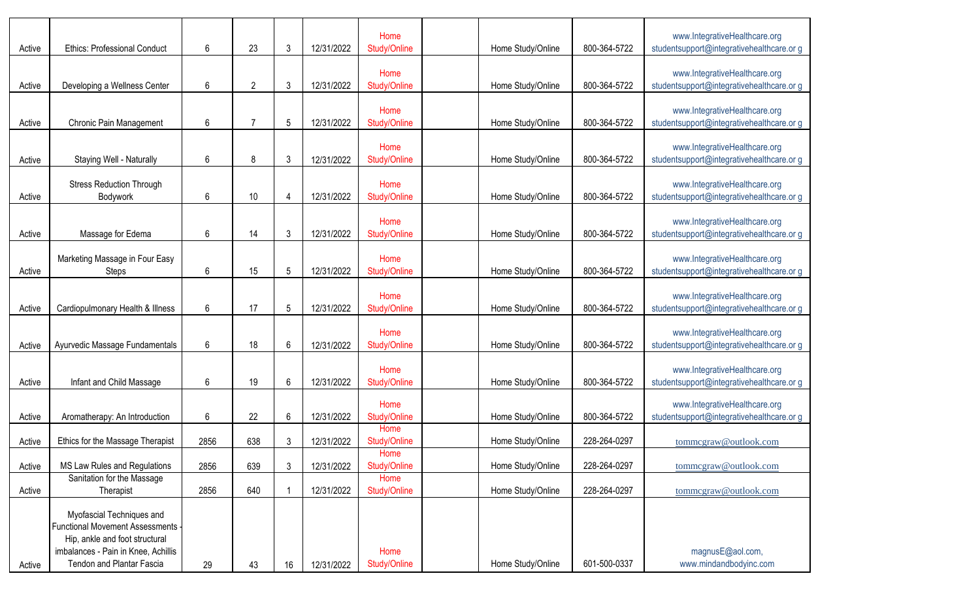| Active | <b>Ethics: Professional Conduct</b>                                                                                                                                  | 6    | 23             | 3  | 12/31/2022 | Home<br>Study/Online | Home Study/Online | 800-364-5722 | www.IntegrativeHealthcare.org<br>studentsupport@integrativehealthcare.or g |
|--------|----------------------------------------------------------------------------------------------------------------------------------------------------------------------|------|----------------|----|------------|----------------------|-------------------|--------------|----------------------------------------------------------------------------|
| Active | Developing a Wellness Center                                                                                                                                         | 6    | $\overline{2}$ | 3  | 12/31/2022 | Home<br>Study/Online | Home Study/Online | 800-364-5722 | www.IntegrativeHealthcare.org<br>studentsupport@integrativehealthcare.or g |
| Active | Chronic Pain Management                                                                                                                                              | 6    | 7              | 5  | 12/31/2022 | Home<br>Study/Online | Home Study/Online | 800-364-5722 | www.IntegrativeHealthcare.org<br>studentsupport@integrativehealthcare.or g |
| Active | Staying Well - Naturally                                                                                                                                             | 6    | 8              | 3  | 12/31/2022 | Home<br>Study/Online | Home Study/Online | 800-364-5722 | www.IntegrativeHealthcare.org<br>studentsupport@integrativehealthcare.or g |
| Active | <b>Stress Reduction Through</b><br>Bodywork                                                                                                                          | 6    | $10$           | 4  | 12/31/2022 | Home<br>Study/Online | Home Study/Online | 800-364-5722 | www.IntegrativeHealthcare.org<br>studentsupport@integrativehealthcare.or g |
| Active | Massage for Edema                                                                                                                                                    | 6    | 14             | 3  | 12/31/2022 | Home<br>Study/Online | Home Study/Online | 800-364-5722 | www.IntegrativeHealthcare.org<br>studentsupport@integrativehealthcare.or g |
| Active | Marketing Massage in Four Easy<br>Steps                                                                                                                              | 6    | 15             | 5  | 12/31/2022 | Home<br>Study/Online | Home Study/Online | 800-364-5722 | www.IntegrativeHealthcare.org<br>studentsupport@integrativehealthcare.or g |
| Active | Cardiopulmonary Health & Illness                                                                                                                                     | 6    | 17             | 5  | 12/31/2022 | Home<br>Study/Online | Home Study/Online | 800-364-5722 | www.IntegrativeHealthcare.org<br>studentsupport@integrativehealthcare.or g |
| Active | Ayurvedic Massage Fundamentals                                                                                                                                       | 6    | 18             | 6  | 12/31/2022 | Home<br>Study/Online | Home Study/Online | 800-364-5722 | www.IntegrativeHealthcare.org<br>studentsupport@integrativehealthcare.or g |
| Active | Infant and Child Massage                                                                                                                                             | 6    | 19             | 6  | 12/31/2022 | Home<br>Study/Online | Home Study/Online | 800-364-5722 | www.IntegrativeHealthcare.org<br>studentsupport@integrativehealthcare.or g |
| Active | Aromatherapy: An Introduction                                                                                                                                        | 6    | 22             | 6  | 12/31/2022 | Home<br>Study/Online | Home Study/Online | 800-364-5722 | www.IntegrativeHealthcare.org<br>studentsupport@integrativehealthcare.or g |
| Active | Ethics for the Massage Therapist                                                                                                                                     | 2856 | 638            | 3  | 12/31/2022 | Home<br>Study/Online | Home Study/Online | 228-264-0297 | tommcgraw@outlook.com                                                      |
| Active | MS Law Rules and Regulations                                                                                                                                         | 2856 | 639            | 3  | 12/31/2022 | Home<br>Study/Online | Home Study/Online | 228-264-0297 | tommcgraw@outlook.com                                                      |
| Active | Sanitation for the Massage<br>Therapist                                                                                                                              | 2856 | 640            |    | 12/31/2022 | Home<br>Study/Online | Home Study/Online | 228-264-0297 | tommcgraw@outlook.com                                                      |
| Active | Myofascial Techniques and<br>Functional Movement Assessments -<br>Hip, ankle and foot structural<br>imbalances - Pain in Knee, Achillis<br>Tendon and Plantar Fascia | 29   | 43             | 16 | 12/31/2022 | Home<br>Study/Online | Home Study/Online | 601-500-0337 | magnusE@aol.com,<br>www.mindandbodyinc.com                                 |